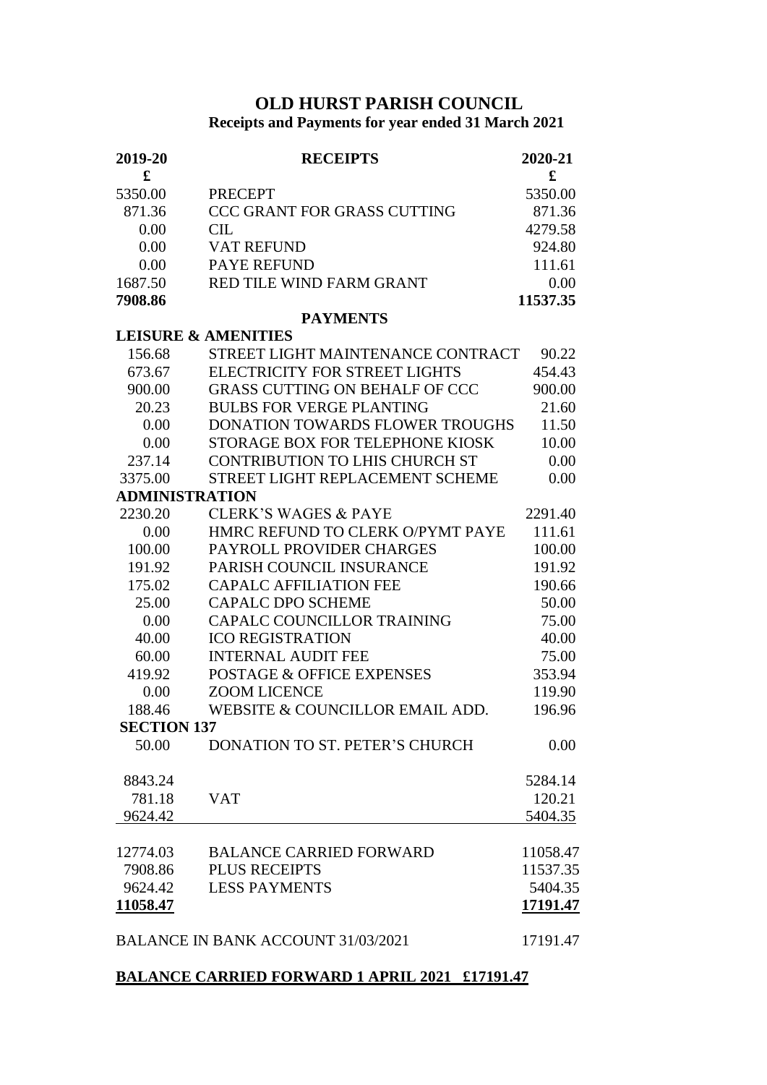## **OLD HURST PARISH COUNCIL**

## **Receipts and Payments for year ended 31 March 2021**

| 2019-20               | <b>RECEIPTS</b>                           | 2020-21     |
|-----------------------|-------------------------------------------|-------------|
| £                     |                                           | $\mathbf f$ |
| 5350.00               | <b>PRECEPT</b>                            | 5350.00     |
| 871.36                | <b>CCC GRANT FOR GRASS CUTTING</b>        | 871.36      |
| 0.00                  | CL                                        | 4279.58     |
| 0.00                  | <b>VAT REFUND</b>                         | 924.80      |
| 0.00                  | <b>PAYE REFUND</b>                        | 111.61      |
| 1687.50               | RED TILE WIND FARM GRANT                  | 0.00        |
| 7908.86               |                                           | 11537.35    |
| <b>PAYMENTS</b>       |                                           |             |
|                       | <b>LEISURE &amp; AMENITIES</b>            |             |
| 156.68                | STREET LIGHT MAINTENANCE CONTRACT         | 90.22       |
| 673.67                | <b>ELECTRICITY FOR STREET LIGHTS</b>      | 454.43      |
| 900.00                | <b>GRASS CUTTING ON BEHALF OF CCC</b>     | 900.00      |
| 20.23                 | <b>BULBS FOR VERGE PLANTING</b>           | 21.60       |
| 0.00                  | <b>DONATION TOWARDS FLOWER TROUGHS</b>    | 11.50       |
| 0.00                  | STORAGE BOX FOR TELEPHONE KIOSK           | 10.00       |
| 237.14                | <b>CONTRIBUTION TO LHIS CHURCH ST</b>     | 0.00        |
| 3375.00               | STREET LIGHT REPLACEMENT SCHEME           | 0.00        |
| <b>ADMINISTRATION</b> |                                           |             |
| 2230.20               | <b>CLERK'S WAGES &amp; PAYE</b>           | 2291.40     |
| 0.00                  | HMRC REFUND TO CLERK O/PYMT PAYE          | 111.61      |
| 100.00                | PAYROLL PROVIDER CHARGES                  | 100.00      |
| 191.92                | PARISH COUNCIL INSURANCE                  | 191.92      |
| 175.02                | <b>CAPALC AFFILIATION FEE</b>             | 190.66      |
| 25.00                 | <b>CAPALC DPO SCHEME</b>                  | 50.00       |
| 0.00                  | <b>CAPALC COUNCILLOR TRAINING</b>         | 75.00       |
| 40.00                 | <b>ICO REGISTRATION</b>                   | 40.00       |
| 60.00                 | <b>INTERNAL AUDIT FEE</b>                 | 75.00       |
| 419.92                | <b>POSTAGE &amp; OFFICE EXPENSES</b>      | 353.94      |
| 0.00                  | <b>ZOOM LICENCE</b>                       | 119.90      |
| 188.46                | WEBSITE & COUNCILLOR EMAIL ADD.           | 196.96      |
| <b>SECTION 137</b>    |                                           |             |
| 50.00                 | DONATION TO ST. PETER'S CHURCH            | 0.00        |
| 8843.24               |                                           | 5284.14     |
| 781.18                | <b>VAT</b>                                | 120.21      |
| 9624.42               |                                           | 5404.35     |
| 12774.03              | <b>BALANCE CARRIED FORWARD</b>            | 11058.47    |
| 7908.86               | <b>PLUS RECEIPTS</b>                      | 11537.35    |
| 9624.42               | <b>LESS PAYMENTS</b>                      | 5404.35     |
| 11058.47              |                                           | 17191.47    |
|                       | <b>BALANCE IN BANK ACCOUNT 31/03/2021</b> | 17191.47    |

## **BALANCE CARRIED FORWARD 1 APRIL 2021 £17191.47**